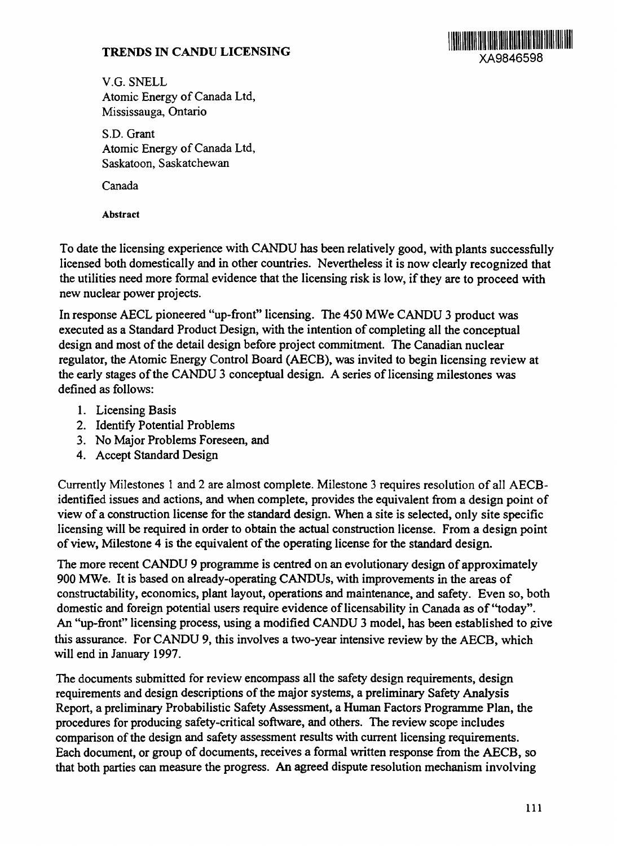

V.G. SNELL Atomic Energy of Canada Ltd, Mississauga, Ontario

S.D. Grant Atomic Energy of Canada Ltd, Saskatoon, Saskatchewan

Canada

**Abstract**

To date the licensing experience with CANDU has been relatively good, with plants successfully licensed both domestically and in other countries. Nevertheless it is now clearly recognized that the utilities need more formal evidence that the licensing risk is low, if they are to proceed with new nuclear power projects.

In response AECL pioneered "up-front" licensing. The 450 MWe CANDU 3 product was executed as a Standard Product Design, with the intention of completing all the conceptual design and most of the detail design before project commitment. The Canadian nuclear regulator, the Atomic Energy Control Board (AECB), was invited to begin licensing review at the early stages of the CANDU 3 conceptual design. A series of licensing milestones was defined as follows:

- 1. Licensing Basis
- 2. Identify Potential Problems
- 3. No Major Problems Foreseen, and
- 4. Accept Standard Design

Currently Milestones 1 and 2 are almost complete. Milestone 3 requires resolution of all AECBidentified issues and actions, and when complete, provides the equivalent from a design point of view of a construction license for the standard design. When a site is selected, only site specific licensing will be required in order to obtain the actual construction license. From a design point of view, Milestone 4 is the equivalent of the operating license for the standard design.

The more recent CANDU 9 programme is centred on an evolutionary design of approximately 900 MWe. It is based on already-operating CANDUs, with improvements in the areas of constructability, economics, plant layout, operations and maintenance, and safety. Even so, both domestic and foreign potential users require evidence of licensability in Canada as of "today". An "up-front" licensing process, using a modified CANDU 3 model, has been established to give this assurance. For CANDU 9, this involves a two-year intensive review by the AECB, which will end in January 1997.

The documents submitted for review encompass all the safety design requirements, design requirements and design descriptions of the major systems, a preliminary Safety Analysis Report, a preliminary Probabilistic Safety Assessment, a Human Factors Programme Plan, the procedures for producing safety-critical software, and others. The review scope includes comparison of the design and safety assessment results with current licensing requirements. Each document, or group of documents, receives a formal written response from the AECB, so that both parties can measure the progress. An agreed dispute resolution mechanism involving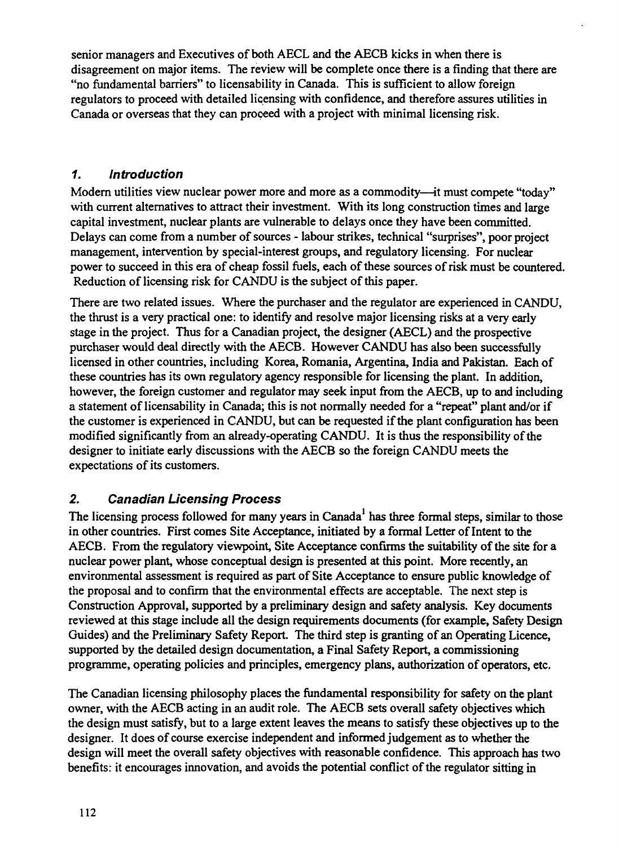senior managers and Executives of both AECL and the AECB kicks in when there is disagreement on major items. The review will be complete once there is a finding that there are "no fundamental barriers" to Iicensability in Canada. This is sufficient to allow foreign regulators to proceed with detailed licensing with confidence, and therefore assures utilities in Canada or overseas that they can proceed with a project with minimal licensing risk.

### **1. Introduction**

Modern utilities view nuclear power more and more as a commodity—it must compete "today" with current alternatives to attract their investment. With its long construction times and large capital investment, nuclear plants are vulnerable to delays once they have been committed. Delays can come from a number of sources - labour strikes, technical "surprises", poor project management, intervention by special-interest groups, and regulatory licensing. For nuclear power to succeed in this era of cheap fossil fuels, each of these sources of risk must be countered. Reduction of licensing risk for CANDU is the subject of this paper.

There are two related issues. Where the purchaser and the regulator are experienced in CANDU, the thrust is a very practical one: to identify and resolve major licensing risks at a very early stage in the project. Thus for a Canadian project, the designer (AECL) and the prospective purchaser would deal directly with the AECB. However CANDU has also been successfully licensed in other countries, including Korea, Romania, Argentina, India and Pakistan. Each of these countries has its own regulatory agency responsible for licensing the plant. In addition, however, the foreign customer and regulator may seek input from the AECB, up to and including a statement of licensability in Canada; this is not normally needed for a "repeat" plant and/or if the customer is experienced in CANDU, but can be requested if the plant configuration has been modified significantly from an already-operating CANDU. It is thus the responsibility of the designer to initiate early discussions with the AECB so the foreign CANDU meets the expectations of its customers.

### **2. Canadian Licensing Process**

The licensing process followed for many years in Canada<sup>1</sup> has three formal steps, similar to those in other countries. First comes Site Acceptance, initiated by a formal Letter of Intent to the AECB. From the regulatory viewpoint, Site Acceptance confirms the suitability of the site for a nuclear power plant, whose conceptual design is presented at this point. More recently, an environmental assessment is required as part of Site Acceptance to ensure public knowledge of the proposal and to confirm that the environmental effects are acceptable. The next step is Construction Approval, supported by a preliminary design and safety analysis. Key documents reviewed at this stage include all the design requirements documents (for example, Safety Design Guides) and the Preliminary Safety Report. The third step is granting of an Operating Licence, supported by the detailed design documentation, a Final Safety Report, a commissioning programme, operating policies and principles, emergency plans, authorization of operators, etc.

The Canadian licensing philosophy places the fundamental responsibility for safety on the plant owner, with the AECB acting in an audit role. The AECB sets overall safety objectives which the design must satisfy, but to a large extent leaves the means to satisfy these objectives up to the designer. It does of course exercise independent and informed judgement as to whether the design will meet the overall safety objectives with reasonable confidence. This approach has two benefits: it encourages innovation, and avoids the potential conflict of the regulator sitting in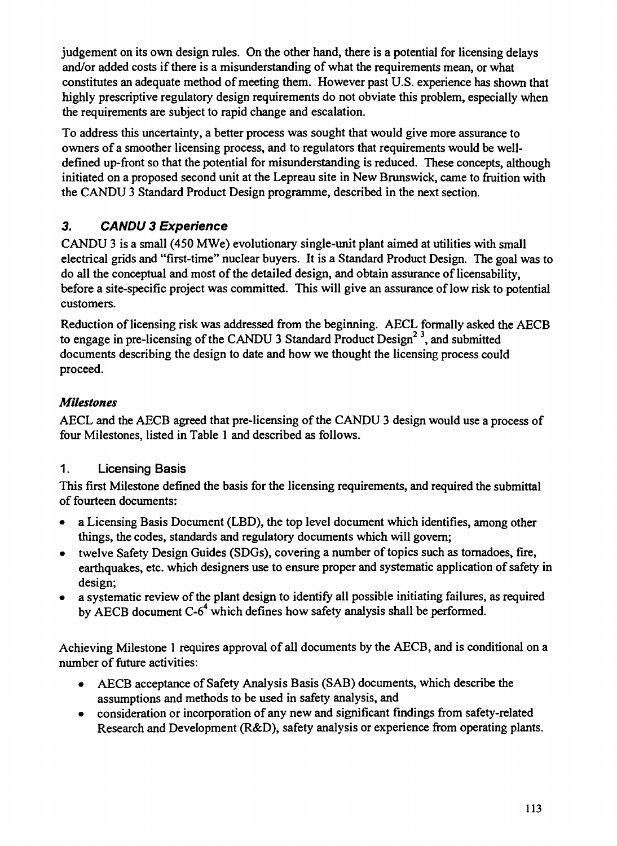judgement on its own design rules. On the other hand, there is a potential for licensing delays and/or added costs if there is a misunderstanding of what the requirements mean, or what constitutes an adequate method of meeting them. However past U.S. experience has shown that highly prescriptive regulatory design requirements do not obviate this problem, especially when the requirements are subject to rapid change and escalation.

To address this uncertainty, a better process was sought that would give more assurance to owners of a smoother licensing process, and to regulators that requirements would be welldefined up-front so that the potential for misunderstanding is reduced. These concepts, although initiated on a proposed second unit at the Lepreau site in New Brunswick, came to fruition with the CANDU 3 Standard Product Design programme, described in the next section.

# 3. CANDU 3 Experience

CANDU 3 is a small (450 MWe) evolutionary single-unit plant aimed at utilities with small electrical grids and "first-time" nuclear buyers. It is a Standard Product Design. The goal was to do all the conceptual and most of the detailed design, and obtain assurance of licensability, before a site-specific project was committed. This will give an assurance of low risk to potential customers.

Reduction of licensing risk was addressed from the beginning. AECL formally asked the AECB to engage in pre-licensing of the CANDU 3 Standard Product Design<sup>23</sup>, and submitted documents describing the design to date and how we thought the licensing process could proceed.

## *Milestones*

AECL and the AECB agreed that pre-licensing of the CANDU 3 design would use a process of four Milestones, listed in Table 1 and described as follows.

# 1. Licensing Basis

This first Milestone defined the basis for the licensing requirements, and required the submittal of fourteen documents:

- a Licensing Basis Document (LBD), the top level document which identifies, among other things, the codes, standards and regulatory documents which will govern;
- twelve Safety Design Guides (SDGs), covering a number of topics such as tomadoes, fire, earthquakes, etc. which designers use to ensure proper and systematic application of safety in design;
- a systematic review of the plant design to identify all possible initiating failures, as required by AECB document C-6<sup>4</sup> which defines how safety analysis shall be performed.

Achieving Milestone 1 requires approval of all documents by the AECB, and is conditional on a number of future activities:

- AECB acceptance of Safety Analysis Basis (SAB) documents, which describe the assumptions and methods to be used in safety analysis, and
- consideration or incorporation of any new and significant findings from safety-related Research and Development (R&D), safety analysis or experience from operating plants.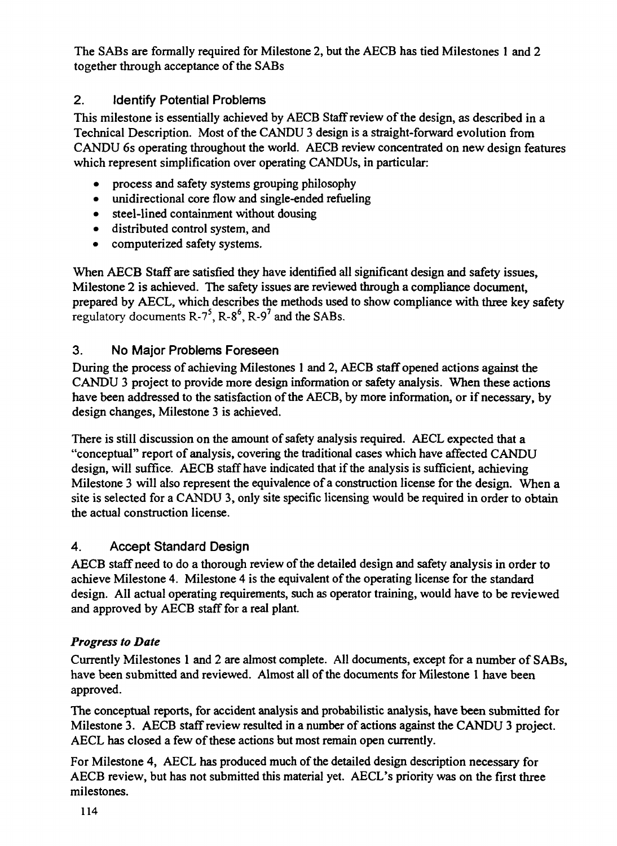The SABs are formally required for Milestone 2, but the AECB has tied Milestones 1 and 2 together through acceptance of the SABs

## 2. Identify Potential Problems

This milestone is essentially achieved by AECB Staff review of the design, as described in a Technical Description. Most of the CANDU 3 design is a straight-forward evolution from CANDU 6s operating throughout the world. AECB review concentrated on new design features which represent simplification over operating CANDUs, in particular:

- process and safety systems grouping philosophy
- unidirectional core flow and single-ended refueling
- steel-lined containment without dousing
- distributed control system, and
- computerized safety systems.

When AECB Staff are satisfied they have identified all significant design and safety issues, Milestone 2 is achieved. The safety issues are reviewed through a compliance document, prepared by AECL, which describes the methods used to show compliance with three key safety regulatory documents R-7<sup>5</sup>, R-8<sup>6</sup>, R-9<sup>7</sup> and the SABs.

## 3. No Major Problems Foreseen

During the process of achieving Milestones 1 and 2, AECB staff opened actions against the CANDU 3 project to provide more design information or safety analysis. When these actions have been addressed to the satisfaction of the AECB, by more information, or if necessary, by design changes, Milestone 3 is achieved.

There is still discussion on the amount of safety analysis required. AECL expected that a "conceptual" report of analysis, covering the traditional cases which have affected CANDU design, will suffice. AECB staff have indicated that if the analysis is sufficient, achieving Milestone 3 will also represent the equivalence of a construction license for the design. When a site is selected for a CANDU 3, only site specific licensing would be required in order to obtain the actual construction license.

### 4. Accept Standard Design

AECB staff need to do a thorough review of the detailed design and safety analysis in order to achieve Milestone 4. Milestone 4 is the equivalent of the operating license for the standard design. All actual operating requirements, such as operator training, would have to be reviewed and approved by AECB staff for a real plant.

### *Progress to Date*

Currently Milestones 1 and 2 are almost complete. All documents, except for a number of SABs, have been submitted and reviewed. Almost all of the documents for Milestone 1 have been approved.

The conceptual reports, for accident analysis and probabilistic analysis, have been submitted for Milestone 3. AECB staff review resulted in a number of actions against the CANDU 3 project. AECL has closed a few of these actions but most remain open currently.

For Milestone 4, AECL has produced much of the detailed design description necessary for AECB review, but has not submitted this material yet. AECL's priority was on the first three milestones.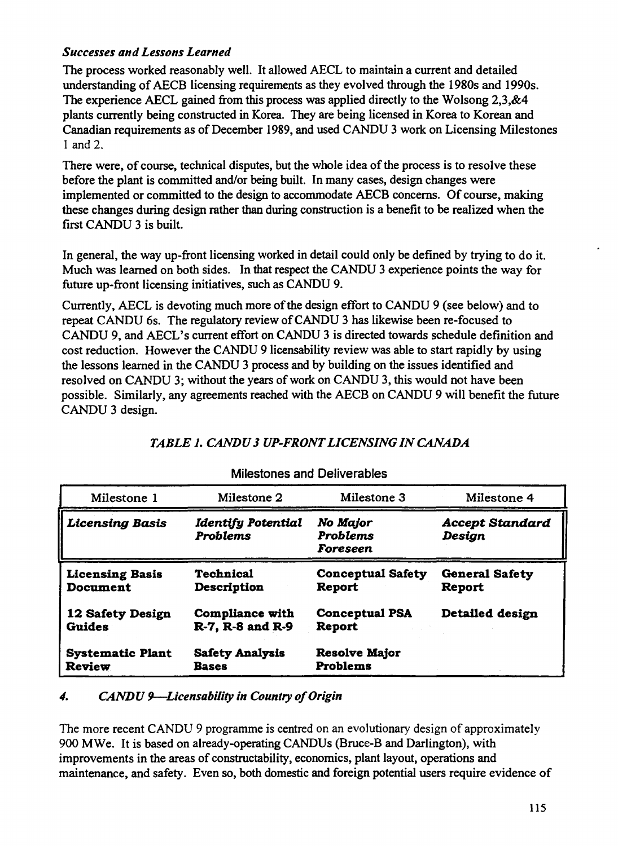#### *Successes and Lessons Learned*

The process worked reasonably well. It allowed AECL to maintain a current and detailed understanding of AECB licensing requirements as they evolved through the 1980s and 1990s. The experience AECL gained from this process was applied directly to the Wolsong 2,3,&4 plants currently being constructed in Korea. They are being licensed in Korea to Korean and Canadian requirements as of December 1989, and used CANDU 3 work on Licensing Milestones 1 and 2.

There were, of course, technical disputes, but the whole idea of the process is to resolve these before the plant is committed and/or being built. In many cases, design changes were implemented or committed to the design to accommodate AECB concerns. Of course, making these changes during design rather than during construction is a benefit to be realized when the first CANDU 3 is built.

In general, the way up-front licensing worked in detail could only be defined by trying to do it. Much was learned on both sides. In that respect the CANDU 3 experience points the way for future up-front licensing initiatives, such as CANDU 9.

Currently, AECL is devoting much more of the design effort to CANDU 9 (see below) and to repeat CANDU 6s. The regulatory review of CANDU 3 has likewise been re-focused to CANDU 9, and AECL's current effort on CANDU 3 is directed towards schedule definition and cost reduction. However the CANDU 9 licensability review was able to start rapidly by using the lessons learned in the CANDU 3 process and by building on the issues identified and resolved on CANDU 3; without the years of work on CANDU 3, this would not have been possible. Similarly, any agreements reached with the AECB on CANDU 9 will benefit the future CANDU 3 design.

| <b>Milestones and Deliverables</b> |                                              |                                         |                                  |  |
|------------------------------------|----------------------------------------------|-----------------------------------------|----------------------------------|--|
| Milestone 1                        | Milestone 2                                  | Milestone 3                             | Milestone 4                      |  |
| <b>Licensing Basis</b>             | <b>Identify Potential</b><br><b>Problems</b> | No Major<br><b>Problems</b><br>Foreseen | <b>Accept Standard</b><br>Design |  |
| <b>Licensing Basis</b>             | Technical                                    | <b>Conceptual Safety</b>                | <b>General Safety</b>            |  |
| Document                           | <b>Description</b>                           | Report                                  | <b>Report</b>                    |  |
| 12 Safety Design                   | <b>Compliance with</b>                       | <b>Conceptual PSA</b>                   | Detailed design                  |  |
| <b>Guides</b>                      | R-7, R-8 and R-9                             | Report                                  |                                  |  |
| <b>Systematic Plant</b>            | <b>Safety Analysis</b>                       | <b>Resolve Major</b>                    |                                  |  |
| <b>Review</b>                      | <b>Bases</b>                                 | Problems                                |                                  |  |

### *TABLE 1. CANDU 3 UP-FRONT LICENSING IN CANADA*

#### *4. CANDU 9—Licensability in Country of Origin*

The more recent CANDU 9 programme is centred on an evolutionary design of approximately 900 MWe. It is based on already-operating CANDUs (Bruce-B and Darlington), with improvements in the areas of constructability, economics, plant layout, operations and maintenance, and safety. Even so, both domestic and foreign potential users require evidence of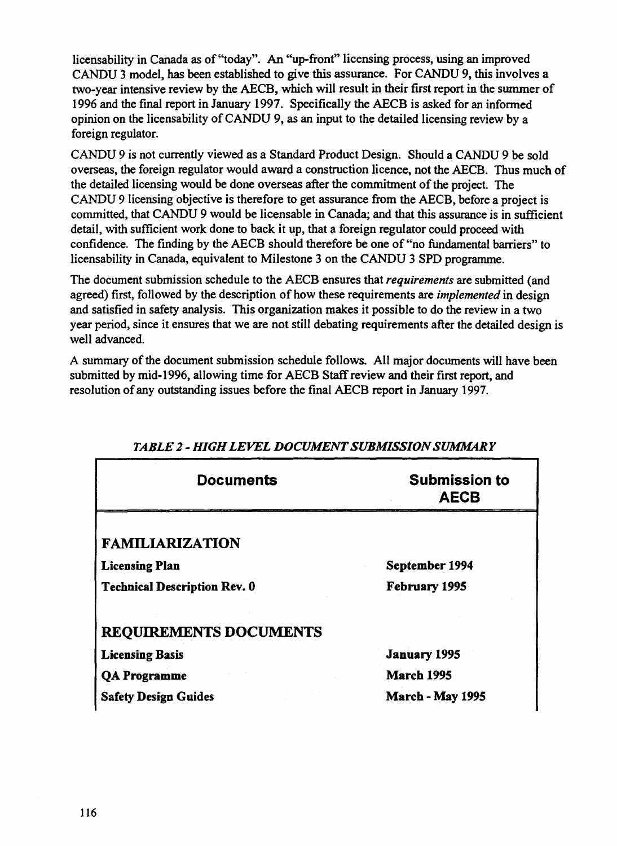licensability in Canada as of "today". An "up-front" licensing process, using an improved CANDU 3 model, has been established to give this assurance. For CANDU 9, this involves a two-year intensive review by the AECB, which will result in their first report in the summer of 1996 and the final report in January 1997. Specifically the AECB is asked for an informed opinion on the licensability of CANDU 9, as an input to the detailed licensing review by a foreign regulator.

CANDU 9 is not currently viewed as a Standard Product Design. Should a CANDU 9 be sold overseas, the foreign regulator would award a construction licence, not the AECB. Thus much of the detailed licensing would be done overseas after the commitment of the project. The CANDU 9 licensing objective is therefore to get assurance from the AECB, before a project is committed, that CANDU 9 would be licensable in Canada; and that this assurance is in sufficient detail, with sufficient work done to back it up, that a foreign regulator could proceed with confidence. The finding by the AECB should therefore be one of "no fundamental barriers" to licensability in Canada, equivalent to Milestone 3 on the CANDU 3 SPD programme.

The document submission schedule to the AECB ensures that *requirements* are submitted (and agreed) first, followed by the description of how these requirements are *implemented* in design and satisfied in safety analysis. This organization makes it possible to do the review in a two year period, since it ensures that we are not still debating requirements after the detailed design is well advanced.

A summary of the document submission schedule follows. All major documents will have been submitted by mid-1996, allowing time for AECB Staff review and their first report, and resolution of any outstanding issues before the final AECB report in January 1997.

| <b>Documents</b>                    | <b>Submission to</b><br><b>AECB</b> |
|-------------------------------------|-------------------------------------|
|                                     |                                     |
| <b>FAMILIARIZATION</b>              |                                     |
| <b>Licensing Plan</b>               | September 1994                      |
| <b>Technical Description Rev. 0</b> | February 1995                       |
| <b>REQUIREMENTS DOCUMENTS</b>       |                                     |
| <b>Licensing Basis</b>              | <b>January 1995</b>                 |
| <b>QA Programme</b>                 | <b>March 1995</b>                   |
| <b>Safety Design Guides</b>         | <b>March - May 1995</b>             |

### *TABLE 2- HIGH LEVEL DOCUMENT SUBMISSION SUMMARY*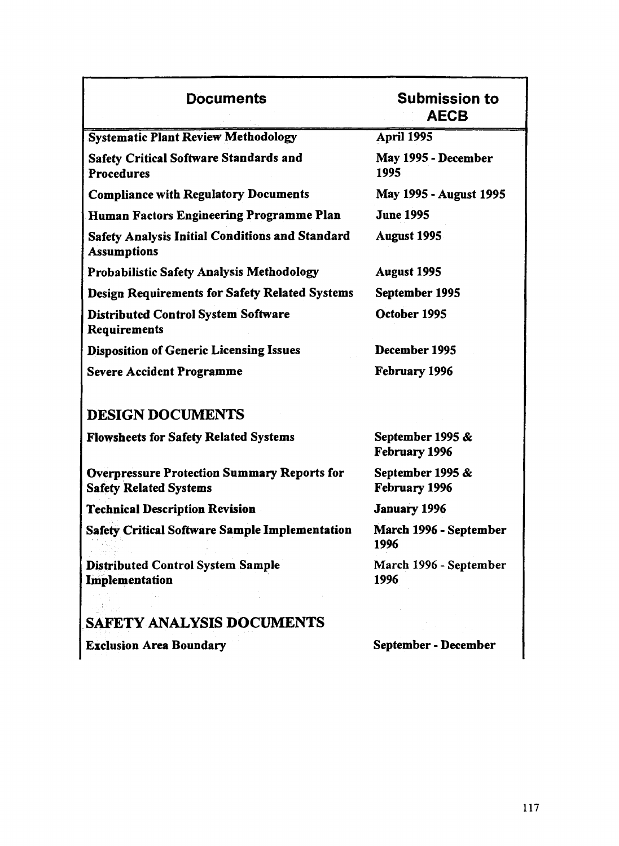| <b>Documents</b>                                                                    | <b>Submission to</b><br><b>AECB</b> |
|-------------------------------------------------------------------------------------|-------------------------------------|
| <b>Systematic Plant Review Methodology</b>                                          | April 1995                          |
| <b>Safety Critical Software Standards and</b><br>Procedures                         | May 1995 - December<br>1995         |
| <b>Compliance with Regulatory Documents</b>                                         | May 1995 - August 1995              |
| Human Factors Engineering Programme Plan                                            | <b>June 1995</b>                    |
| <b>Safety Analysis Initial Conditions and Standard</b><br><b>Assumptions</b>        | <b>August 1995</b>                  |
| <b>Probabilistic Safety Analysis Methodology</b>                                    | <b>August 1995</b>                  |
| <b>Design Requirements for Safety Related Systems</b>                               | September 1995                      |
| <b>Distributed Control System Software</b><br>Requirements                          | October 1995                        |
| <b>Disposition of Generic Licensing Issues</b>                                      | December 1995                       |
| <b>Severe Accident Programme</b>                                                    | February 1996                       |
| <b>DESIGN DOCUMENTS</b>                                                             |                                     |
| <b>Flowsheets for Safety Related Systems</b>                                        | September 1995 &<br>February 1996   |
| <b>Overpressure Protection Summary Reports for</b><br><b>Safety Related Systems</b> | September 1995 &<br>February 1996   |
| <b>Technical Description Revision</b>                                               | <b>January 1996</b>                 |
| <b>Safety Critical Software Sample Implementation</b>                               | March 1996 - September<br>1996      |
| <b>Distributed Control System Sample</b><br>Implementation                          | March 1996 - September<br>1996      |
| SAFETY ANALYSIS DOCUMENTS                                                           |                                     |
| <b>Exclusion Area Boundary</b>                                                      | September - December                |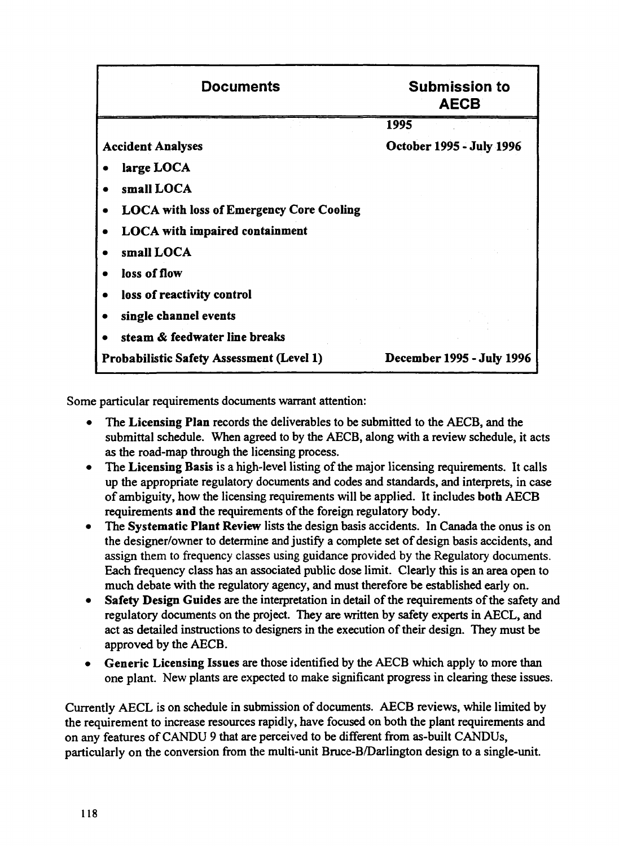| <b>Documents</b>                                 | <b>Submission to</b><br><b>AECB</b> |
|--------------------------------------------------|-------------------------------------|
|                                                  | 1995                                |
| <b>Accident Analyses</b>                         | <b>October 1995 - July 1996</b>     |
| large LOCA                                       |                                     |
| small LOCA                                       |                                     |
| <b>LOCA with loss of Emergency Core Cooling</b>  |                                     |
| <b>LOCA</b> with impaired containment            |                                     |
| small LOCA                                       |                                     |
| loss of flow                                     |                                     |
| loss of reactivity control                       |                                     |
| single channel events                            |                                     |
| steam & feedwater line breaks                    |                                     |
| <b>Probabilistic Safety Assessment (Level 1)</b> | December 1995 - July 1996           |

Some particular requirements documents warrant attention:

- The **Licensing Plan** records the deliverables to be submitted to the AECB, and the submittal schedule. When agreed to by the AECB, along with a review schedule, it acts as the road-map through the licensing process.
- The **Licensing Basis** is a high-level listing of the major licensing requirements. It calls up the appropriate regulatory documents and codes and standards, and interprets, in case of ambiguity, how the licensing requirements will be applied. It includes **both** AECB requirements **and** the requirements of the foreign regulatory body.
- The **Systematic Plant Review** lists the design basis accidents. In Canada the onus is on the designer/owner to determine and justify a complete set of design basis accidents, and assign them to frequency classes using guidance provided by the Regulatory documents. Each frequency class has an associated public dose limit. Clearly this is an area open to much debate with the regulatory agency, and must therefore be established early on.
- • **Safety Design Guides** are the interpretation in detail of the requirements of the safety and regulatory documents on the project. They are written by safety experts in AECL, and act as detailed instructions to designers in the execution of their design. They must be approved by the AECB.
- Generic Licensing Issues are those identified by the AECB which apply to more than one plant. New plants are expected to make significant progress in clearing these issues.

Currently AECL is on schedule in submission of documents. AECB reviews, while limited by the requirement to increase resources rapidly, have focused on both the plant requirements and on any features of CANDU 9 that are perceived to be different from as-built CANDUs, particularly on the conversion from the multi-unit Bruce-B/Darlington design to a single-unit.